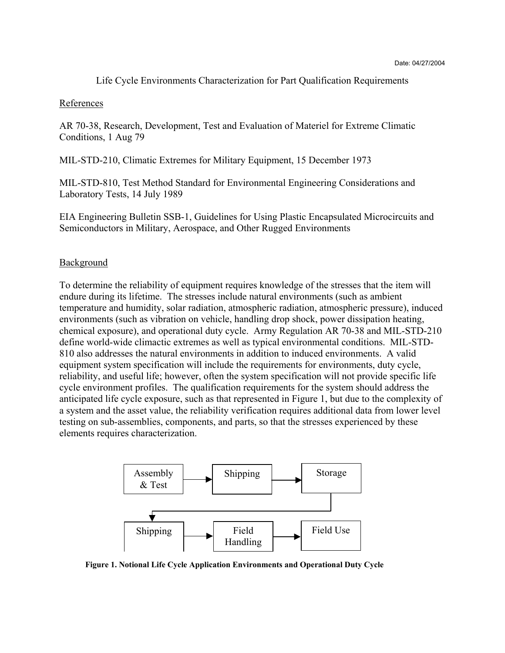Life Cycle Environments Characterization for Part Qualification Requirements

## References

AR 70-38, Research, Development, Test and Evaluation of Materiel for Extreme Climatic Conditions, 1 Aug 79

MIL-STD-210, Climatic Extremes for Military Equipment, 15 December 1973

MIL-STD-810, Test Method Standard for Environmental Engineering Considerations and Laboratory Tests, 14 July 1989

EIA Engineering Bulletin SSB-1, Guidelines for Using Plastic Encapsulated Microcircuits and Semiconductors in Military, Aerospace, and Other Rugged Environments

## **Background**

To determine the reliability of equipment requires knowledge of the stresses that the item will endure during its lifetime. The stresses include natural environments (such as ambient temperature and humidity, solar radiation, atmospheric radiation, atmospheric pressure), induced environments (such as vibration on vehicle, handling drop shock, power dissipation heating, chemical exposure), and operational duty cycle. Army Regulation AR 70-38 and MIL-STD-210 define world-wide climactic extremes as well as typical environmental conditions. MIL-STD-810 also addresses the natural environments in addition to induced environments. A valid equipment system specification will include the requirements for environments, duty cycle, reliability, and useful life; however, often the system specification will not provide specific life cycle environment profiles. The qualification requirements for the system should address the anticipated life cycle exposure, such as that represented in Figure 1, but due to the complexity of a system and the asset value, the reliability verification requires additional data from lower level testing on sub-assemblies, components, and parts, so that the stresses experienced by these elements requires characterization.



**Figure 1. Notional Life Cycle Application Environments and Operational Duty Cycle**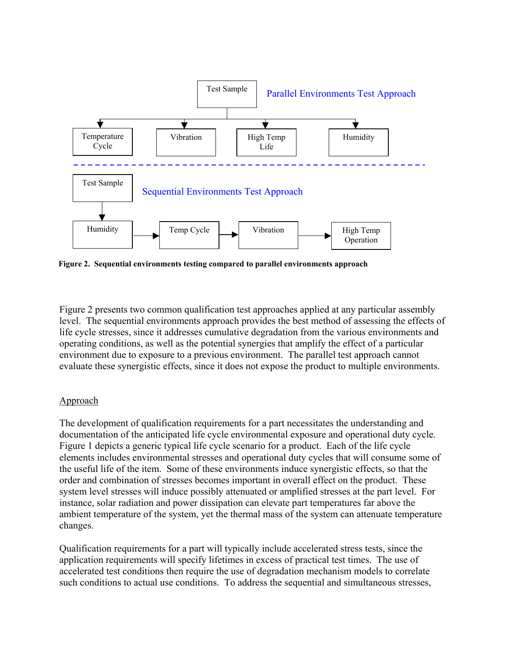

**Figure 2. Sequential environments testing compared to parallel environments approach** 

Figure 2 presents two common qualification test approaches applied at any particular assembly level. The sequential environments approach provides the best method of assessing the effects of life cycle stresses, since it addresses cumulative degradation from the various environments and operating conditions, as well as the potential synergies that amplify the effect of a particular environment due to exposure to a previous environment. The parallel test approach cannot evaluate these synergistic effects, since it does not expose the product to multiple environments.

## Approach

The development of qualification requirements for a part necessitates the understanding and documentation of the anticipated life cycle environmental exposure and operational duty cycle. Figure 1 depicts a generic typical life cycle scenario for a product. Each of the life cycle elements includes environmental stresses and operational duty cycles that will consume some of the useful life of the item. Some of these environments induce synergistic effects, so that the order and combination of stresses becomes important in overall effect on the product. These system level stresses will induce possibly attenuated or amplified stresses at the part level. For instance, solar radiation and power dissipation can elevate part temperatures far above the ambient temperature of the system, yet the thermal mass of the system can attenuate temperature changes.

Qualification requirements for a part will typically include accelerated stress tests, since the application requirements will specify lifetimes in excess of practical test times. The use of accelerated test conditions then require the use of degradation mechanism models to correlate such conditions to actual use conditions. To address the sequential and simultaneous stresses,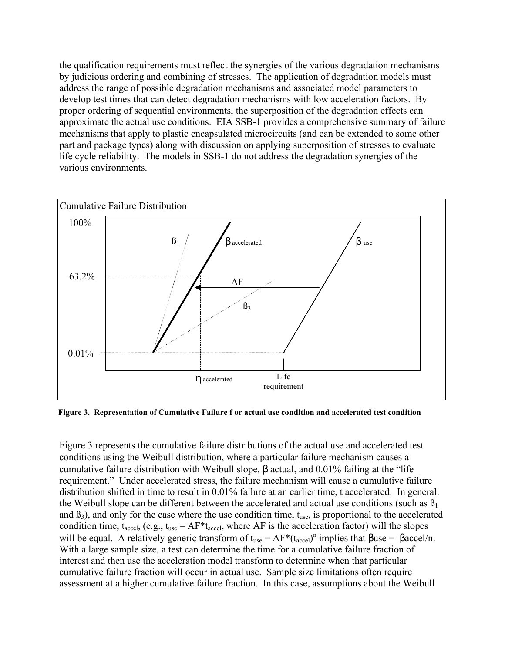the qualification requirements must reflect the synergies of the various degradation mechanisms by judicious ordering and combining of stresses. The application of degradation models must address the range of possible degradation mechanisms and associated model parameters to develop test times that can detect degradation mechanisms with low acceleration factors. By proper ordering of sequential environments, the superposition of the degradation effects can approximate the actual use conditions. EIA SSB-1 provides a comprehensive summary of failure mechanisms that apply to plastic encapsulated microcircuits (and can be extended to some other part and package types) along with discussion on applying superposition of stresses to evaluate life cycle reliability. The models in SSB-1 do not address the degradation synergies of the various environments.



**Figure 3. Representation of Cumulative Failure f or actual use condition and accelerated test condition** 

Figure 3 represents the cumulative failure distributions of the actual use and accelerated test conditions using the Weibull distribution, where a particular failure mechanism causes a cumulative failure distribution with Weibull slope, β actual, and 0.01% failing at the "life requirement." Under accelerated stress, the failure mechanism will cause a cumulative failure distribution shifted in time to result in 0.01% failure at an earlier time, t accelerated. In general. the Weibull slope can be different between the accelerated and actual use conditions (such as  $\beta_1$ ) and  $\beta_3$ ), and only for the case where the use condition time,  $t_{use}$ , is proportional to the accelerated condition time,  $t_{\text{accel}}$ , (e.g.,  $t_{\text{use}} = AF * t_{\text{accel}}$ , where AF is the acceleration factor) will the slopes will be equal. A relatively generic transform of  $t_{use} = AF*(t_{accel})^n$  implies that  $\beta$ use =  $\beta$ accel/n. With a large sample size, a test can determine the time for a cumulative failure fraction of interest and then use the acceleration model transform to determine when that particular cumulative failure fraction will occur in actual use. Sample size limitations often require assessment at a higher cumulative failure fraction. In this case, assumptions about the Weibull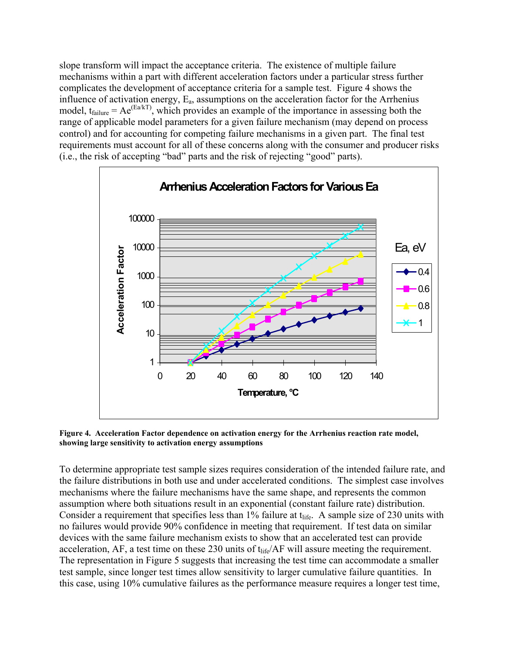slope transform will impact the acceptance criteria. The existence of multiple failure mechanisms within a part with different acceleration factors under a particular stress further complicates the development of acceptance criteria for a sample test. Figure 4 shows the influence of activation energy,  $E_a$ , assumptions on the acceleration factor for the Arrhenius model,  $t_{failure} = Ae^{(Ea/kT)}$ , which provides an example of the importance in assessing both the range of applicable model parameters for a given failure mechanism (may depend on process control) and for accounting for competing failure mechanisms in a given part. The final test requirements must account for all of these concerns along with the consumer and producer risks (i.e., the risk of accepting "bad" parts and the risk of rejecting "good" parts).



**Figure 4. Acceleration Factor dependence on activation energy for the Arrhenius reaction rate model, showing large sensitivity to activation energy assumptions** 

To determine appropriate test sample sizes requires consideration of the intended failure rate, and the failure distributions in both use and under accelerated conditions. The simplest case involves mechanisms where the failure mechanisms have the same shape, and represents the common assumption where both situations result in an exponential (constant failure rate) distribution. Consider a requirement that specifies less than  $1\%$  failure at t<sub>life</sub>. A sample size of 230 units with no failures would provide 90% confidence in meeting that requirement. If test data on similar devices with the same failure mechanism exists to show that an accelerated test can provide acceleration,  $AF$ , a test time on these 230 units of  $t_{\text{life}}/AF$  will assure meeting the requirement. The representation in Figure 5 suggests that increasing the test time can accommodate a smaller test sample, since longer test times allow sensitivity to larger cumulative failure quantities. In this case, using 10% cumulative failures as the performance measure requires a longer test time,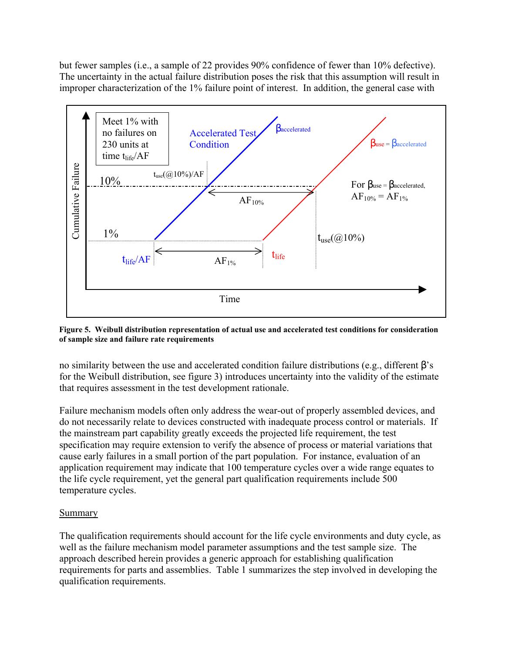but fewer samples (i.e., a sample of 22 provides 90% confidence of fewer than 10% defective). The uncertainty in the actual failure distribution poses the risk that this assumption will result in improper characterization of the 1% failure point of interest. In addition, the general case with



**Figure 5. Weibull distribution representation of actual use and accelerated test conditions for consideration of sample size and failure rate requirements**

no similarity between the use and accelerated condition failure distributions (e.g., different β's for the Weibull distribution, see figure 3) introduces uncertainty into the validity of the estimate that requires assessment in the test development rationale.

Failure mechanism models often only address the wear-out of properly assembled devices, and do not necessarily relate to devices constructed with inadequate process control or materials. If the mainstream part capability greatly exceeds the projected life requirement, the test specification may require extension to verify the absence of process or material variations that cause early failures in a small portion of the part population. For instance, evaluation of an application requirement may indicate that 100 temperature cycles over a wide range equates to the life cycle requirement, yet the general part qualification requirements include 500 temperature cycles.

## Summary

The qualification requirements should account for the life cycle environments and duty cycle, as well as the failure mechanism model parameter assumptions and the test sample size. The approach described herein provides a generic approach for establishing qualification requirements for parts and assemblies. Table 1 summarizes the step involved in developing the qualification requirements.